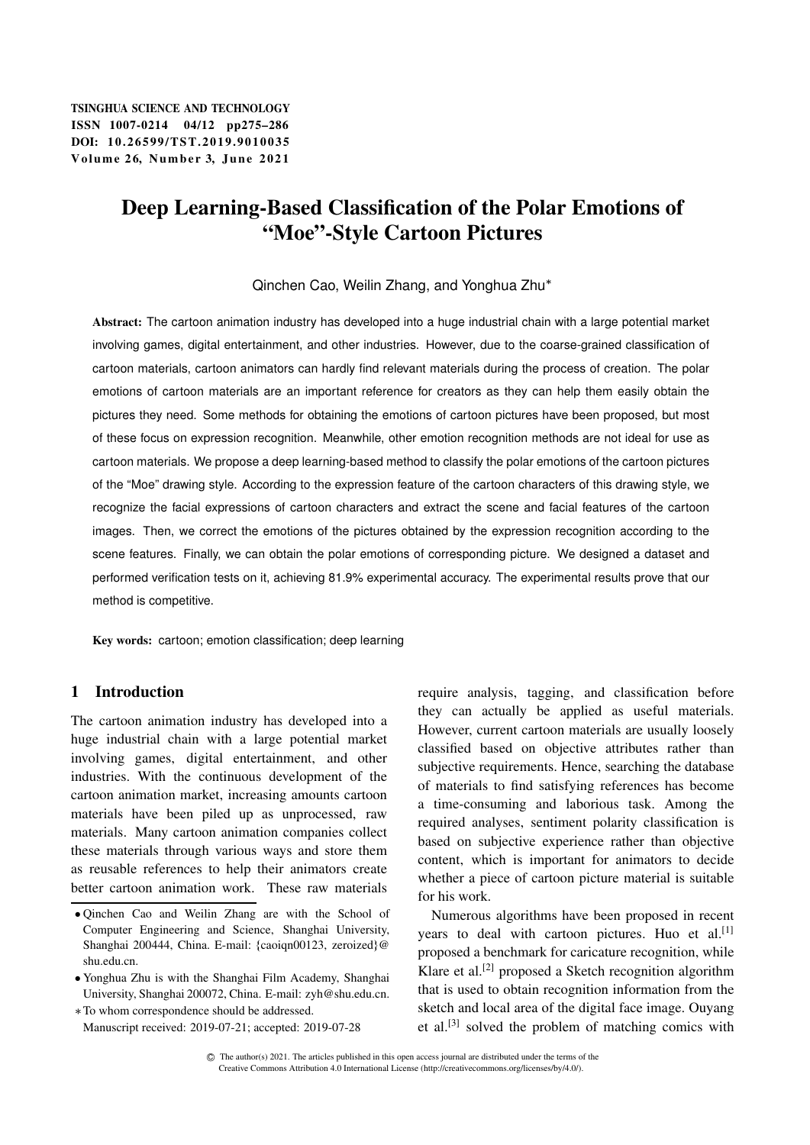TSINGHUA SCIENCE AND TECHNOLOGY ISSNll1007-0214 04/12 pp275–286 DOI: 10.26599/TST.2019.9010035 Volume 26, Number 3, June 2021

# Deep Learning-Based Classification of the Polar Emotions of "Moe"-Style Cartoon Pictures

Qinchen Cao, Weilin Zhang, and Yonghua Zhu

Abstract: The cartoon animation industry has developed into a huge industrial chain with a large potential market involving games, digital entertainment, and other industries. However, due to the coarse-grained classification of cartoon materials, cartoon animators can hardly find relevant materials during the process of creation. The polar emotions of cartoon materials are an important reference for creators as they can help them easily obtain the pictures they need. Some methods for obtaining the emotions of cartoon pictures have been proposed, but most of these focus on expression recognition. Meanwhile, other emotion recognition methods are not ideal for use as cartoon materials. We propose a deep learning-based method to classify the polar emotions of the cartoon pictures of the "Moe" drawing style. According to the expression feature of the cartoon characters of this drawing style, we recognize the facial expressions of cartoon characters and extract the scene and facial features of the cartoon images. Then, we correct the emotions of the pictures obtained by the expression recognition according to the scene features. Finally, we can obtain the polar emotions of corresponding picture. We designed a dataset and performed verification tests on it, achieving 81.9% experimental accuracy. The experimental results prove that our method is competitive.

Key words: cartoon; emotion classification; deep learning

# 1 Introduction

The cartoon animation industry has developed into a huge industrial chain with a large potential market involving games, digital entertainment, and other industries. With the continuous development of the cartoon animation market, increasing amounts cartoon materials have been piled up as unprocessed, raw materials. Many cartoon animation companies collect these materials through various ways and store them as reusable references to help their animators create better cartoon animation work. These raw materials require analysis, tagging, and classification before they can actually be applied as useful materials. However, current cartoon materials are usually loosely classified based on objective attributes rather than subjective requirements. Hence, searching the database of materials to find satisfying references has become a time-consuming and laborious task. Among the required analyses, sentiment polarity classification is based on subjective experience rather than objective content, which is important for animators to decide whether a piece of cartoon picture material is suitable for his work.

Numerous algorithms have been proposed in recent years to deal with cartoon pictures. Huo et al.<sup>[1]</sup> proposed a benchmark for caricature recognition, while Klare et al.<sup>[2]</sup> proposed a Sketch recognition algorithm that is used to obtain recognition information from the sketch and local area of the digital face image. Ouyang et al.[3] solved the problem of matching comics with

Qinchen Cao and Weilin Zhang are with the School of Computer Engineering and Science, Shanghai University, Shanghai 200444, China. E-mail: {caoiqn00123, zeroized}@ shu.edu.cn.

Yonghua Zhu is with the Shanghai Film Academy, Shanghai University, Shanghai 200072, China. E-mail: zyh@shu.edu.cn. To whom correspondence should be addressed.

Manuscript received: 2019-07-21; accepted: 2019-07-28

C The author(s) 2021. The articles published in this open access journal are distributed under the terms of the Creative Commons Attribution 4.0 International License (http://creativecommons.org/licenses/by/4.0/).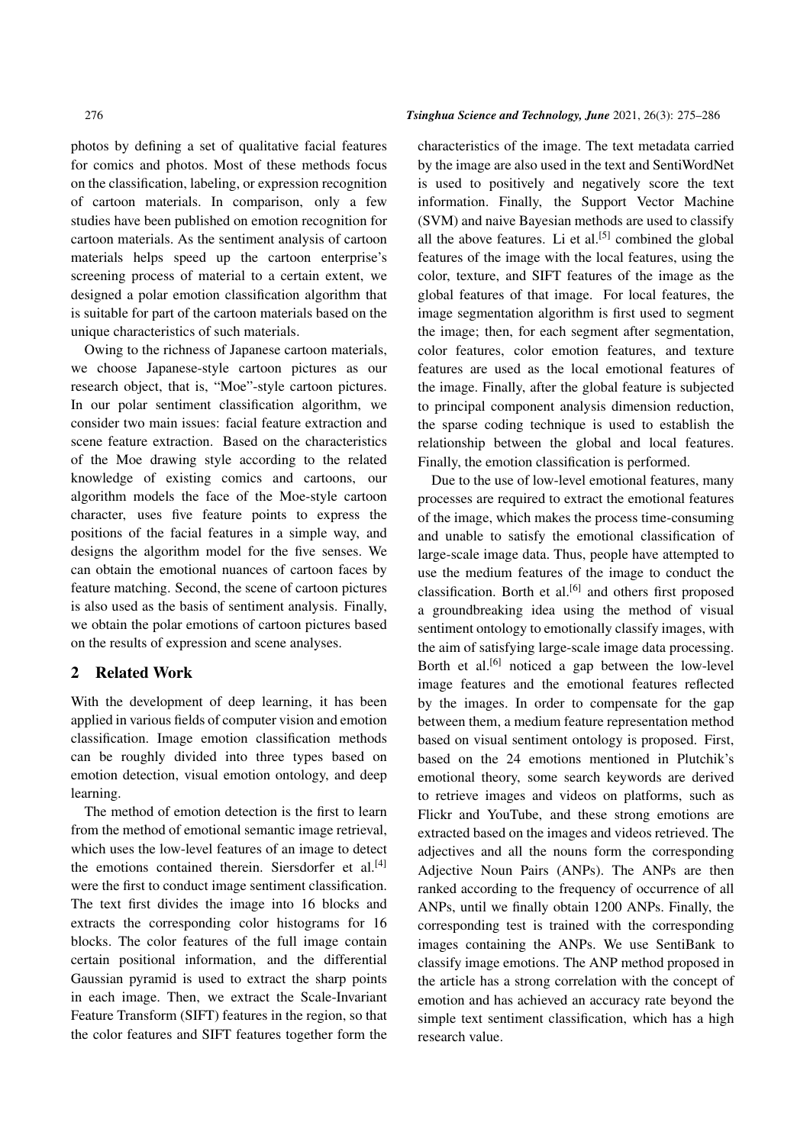photos by defining a set of qualitative facial features for comics and photos. Most of these methods focus on the classification, labeling, or expression recognition of cartoon materials. In comparison, only a few studies have been published on emotion recognition for cartoon materials. As the sentiment analysis of cartoon materials helps speed up the cartoon enterprise's screening process of material to a certain extent, we designed a polar emotion classification algorithm that is suitable for part of the cartoon materials based on the unique characteristics of such materials.

Owing to the richness of Japanese cartoon materials, we choose Japanese-style cartoon pictures as our research object, that is, "Moe"-style cartoon pictures. In our polar sentiment classification algorithm, we consider two main issues: facial feature extraction and scene feature extraction. Based on the characteristics of the Moe drawing style according to the related knowledge of existing comics and cartoons, our algorithm models the face of the Moe-style cartoon character, uses five feature points to express the positions of the facial features in a simple way, and designs the algorithm model for the five senses. We can obtain the emotional nuances of cartoon faces by feature matching. Second, the scene of cartoon pictures is also used as the basis of sentiment analysis. Finally, we obtain the polar emotions of cartoon pictures based on the results of expression and scene analyses.

# 2 Related Work

With the development of deep learning, it has been applied in various fields of computer vision and emotion classification. Image emotion classification methods can be roughly divided into three types based on emotion detection, visual emotion ontology, and deep learning.

The method of emotion detection is the first to learn from the method of emotional semantic image retrieval, which uses the low-level features of an image to detect the emotions contained therein. Siersdorfer et al.<sup>[4]</sup> were the first to conduct image sentiment classification. The text first divides the image into 16 blocks and extracts the corresponding color histograms for 16 blocks. The color features of the full image contain certain positional information, and the differential Gaussian pyramid is used to extract the sharp points in each image. Then, we extract the Scale-Invariant Feature Transform (SIFT) features in the region, so that the color features and SIFT features together form the

#### 276 *Tsinghua Science and Technology, June* 2021, 26(3): 275–286

characteristics of the image. The text metadata carried by the image are also used in the text and SentiWordNet is used to positively and negatively score the text information. Finally, the Support Vector Machine (SVM) and naive Bayesian methods are used to classify all the above features. Li et al.<sup>[5]</sup> combined the global features of the image with the local features, using the color, texture, and SIFT features of the image as the global features of that image. For local features, the image segmentation algorithm is first used to segment the image; then, for each segment after segmentation, color features, color emotion features, and texture features are used as the local emotional features of the image. Finally, after the global feature is subjected to principal component analysis dimension reduction, the sparse coding technique is used to establish the relationship between the global and local features. Finally, the emotion classification is performed.

Due to the use of low-level emotional features, many processes are required to extract the emotional features of the image, which makes the process time-consuming and unable to satisfy the emotional classification of large-scale image data. Thus, people have attempted to use the medium features of the image to conduct the classification. Borth et al.<sup>[6]</sup> and others first proposed a groundbreaking idea using the method of visual sentiment ontology to emotionally classify images, with the aim of satisfying large-scale image data processing. Borth et al.<sup>[6]</sup> noticed a gap between the low-level image features and the emotional features reflected by the images. In order to compensate for the gap between them, a medium feature representation method based on visual sentiment ontology is proposed. First, based on the 24 emotions mentioned in Plutchik's emotional theory, some search keywords are derived to retrieve images and videos on platforms, such as Flickr and YouTube, and these strong emotions are extracted based on the images and videos retrieved. The adjectives and all the nouns form the corresponding Adjective Noun Pairs (ANPs). The ANPs are then ranked according to the frequency of occurrence of all ANPs, until we finally obtain 1200 ANPs. Finally, the corresponding test is trained with the corresponding images containing the ANPs. We use SentiBank to classify image emotions. The ANP method proposed in the article has a strong correlation with the concept of emotion and has achieved an accuracy rate beyond the simple text sentiment classification, which has a high research value.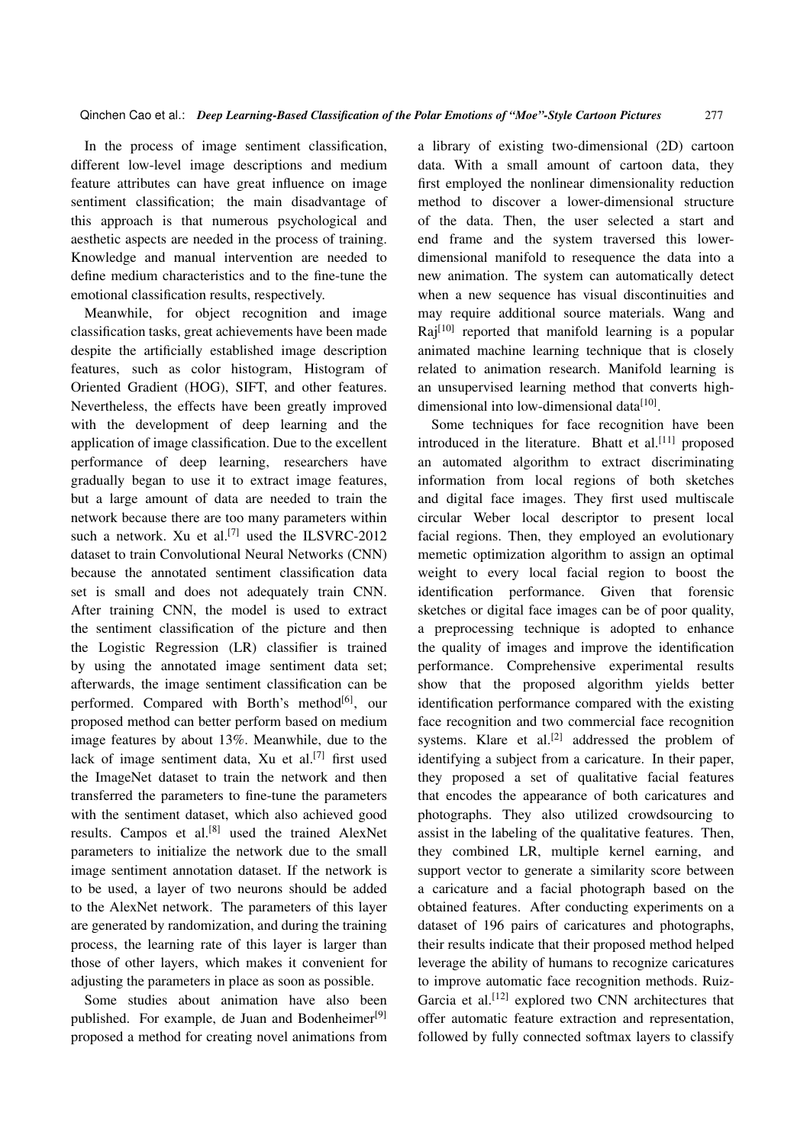In the process of image sentiment classification, different low-level image descriptions and medium feature attributes can have great influence on image sentiment classification; the main disadvantage of this approach is that numerous psychological and aesthetic aspects are needed in the process of training. Knowledge and manual intervention are needed to define medium characteristics and to the fine-tune the emotional classification results, respectively.

Meanwhile, for object recognition and image classification tasks, great achievements have been made despite the artificially established image description features, such as color histogram, Histogram of Oriented Gradient (HOG), SIFT, and other features. Nevertheless, the effects have been greatly improved with the development of deep learning and the application of image classification. Due to the excellent performance of deep learning, researchers have gradually began to use it to extract image features, but a large amount of data are needed to train the network because there are too many parameters within such a network. Xu et al.<sup>[7]</sup> used the ILSVRC-2012 dataset to train Convolutional Neural Networks (CNN) because the annotated sentiment classification data set is small and does not adequately train CNN. After training CNN, the model is used to extract the sentiment classification of the picture and then the Logistic Regression (LR) classifier is trained by using the annotated image sentiment data set; afterwards, the image sentiment classification can be performed. Compared with Borth's method<sup>[6]</sup>, our proposed method can better perform based on medium image features by about 13%. Meanwhile, due to the lack of image sentiment data, Xu et al.<sup>[7]</sup> first used the ImageNet dataset to train the network and then transferred the parameters to fine-tune the parameters with the sentiment dataset, which also achieved good results. Campos et al.[8] used the trained AlexNet parameters to initialize the network due to the small image sentiment annotation dataset. If the network is to be used, a layer of two neurons should be added to the AlexNet network. The parameters of this layer are generated by randomization, and during the training process, the learning rate of this layer is larger than those of other layers, which makes it convenient for adjusting the parameters in place as soon as possible.

Some studies about animation have also been published. For example, de Juan and Bodenheimer<sup>[9]</sup> proposed a method for creating novel animations from a library of existing two-dimensional (2D) cartoon data. With a small amount of cartoon data, they first employed the nonlinear dimensionality reduction method to discover a lower-dimensional structure of the data. Then, the user selected a start and end frame and the system traversed this lowerdimensional manifold to resequence the data into a new animation. The system can automatically detect when a new sequence has visual discontinuities and may require additional source materials. Wang and  $\text{Rai}^{[10]}$  reported that manifold learning is a popular animated machine learning technique that is closely related to animation research. Manifold learning is an unsupervised learning method that converts highdimensional into low-dimensional data<sup>[10]</sup>.

Some techniques for face recognition have been introduced in the literature. Bhatt et al. $[11]$  proposed an automated algorithm to extract discriminating information from local regions of both sketches and digital face images. They first used multiscale circular Weber local descriptor to present local facial regions. Then, they employed an evolutionary memetic optimization algorithm to assign an optimal weight to every local facial region to boost the identification performance. Given that forensic sketches or digital face images can be of poor quality, a preprocessing technique is adopted to enhance the quality of images and improve the identification performance. Comprehensive experimental results show that the proposed algorithm yields better identification performance compared with the existing face recognition and two commercial face recognition systems. Klare et al.<sup>[2]</sup> addressed the problem of identifying a subject from a caricature. In their paper, they proposed a set of qualitative facial features that encodes the appearance of both caricatures and photographs. They also utilized crowdsourcing to assist in the labeling of the qualitative features. Then, they combined LR, multiple kernel earning, and support vector to generate a similarity score between a caricature and a facial photograph based on the obtained features. After conducting experiments on a dataset of 196 pairs of caricatures and photographs, their results indicate that their proposed method helped leverage the ability of humans to recognize caricatures to improve automatic face recognition methods. Ruiz-Garcia et al.<sup>[12]</sup> explored two CNN architectures that offer automatic feature extraction and representation, followed by fully connected softmax layers to classify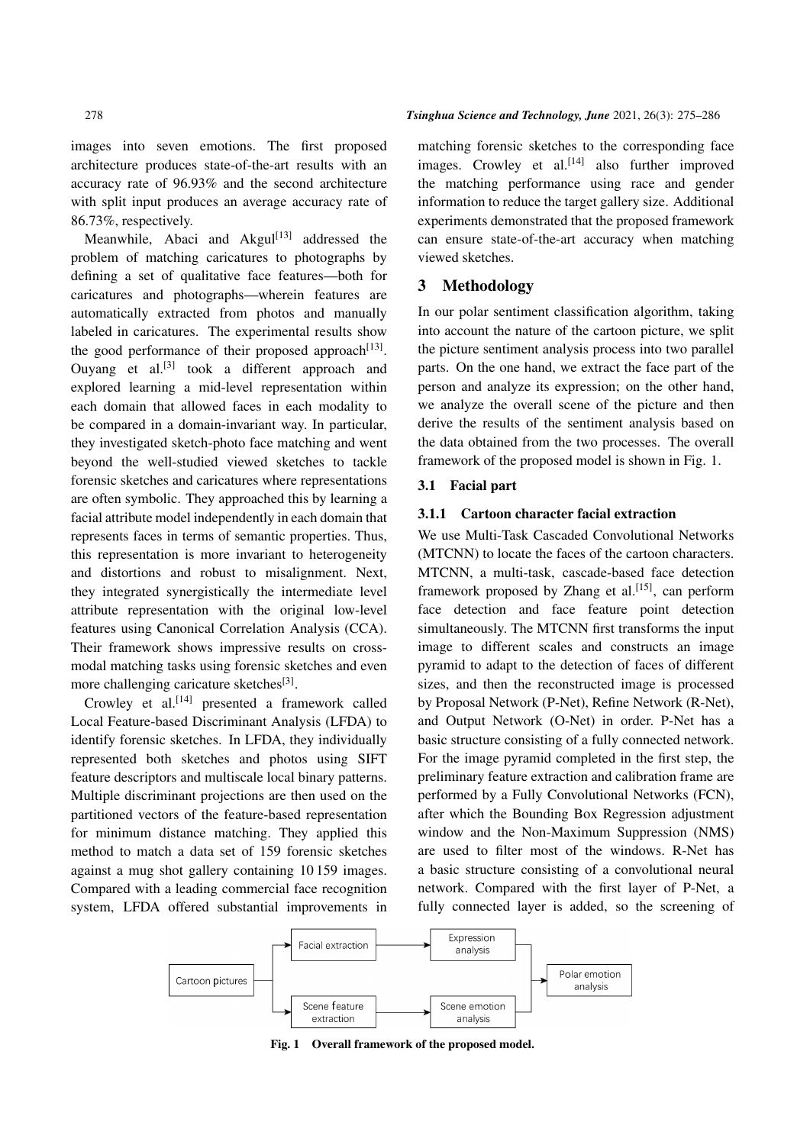images into seven emotions. The first proposed architecture produces state-of-the-art results with an accuracy rate of 96.93% and the second architecture with split input produces an average accuracy rate of 86.73%, respectively.

Meanwhile, Abaci and Akgul<sup>[13]</sup> addressed the problem of matching caricatures to photographs by defining a set of qualitative face features—both for caricatures and photographs—wherein features are automatically extracted from photos and manually labeled in caricatures. The experimental results show the good performance of their proposed approach $^{[13]}$ . Ouyang et al.<sup>[3]</sup> took a different approach and explored learning a mid-level representation within each domain that allowed faces in each modality to be compared in a domain-invariant way. In particular, they investigated sketch-photo face matching and went beyond the well-studied viewed sketches to tackle forensic sketches and caricatures where representations are often symbolic. They approached this by learning a facial attribute model independently in each domain that represents faces in terms of semantic properties. Thus, this representation is more invariant to heterogeneity and distortions and robust to misalignment. Next, they integrated synergistically the intermediate level attribute representation with the original low-level features using Canonical Correlation Analysis (CCA). Their framework shows impressive results on crossmodal matching tasks using forensic sketches and even more challenging caricature sketches<sup>[3]</sup>.

Crowley et al.<sup>[14]</sup> presented a framework called Local Feature-based Discriminant Analysis (LFDA) to identify forensic sketches. In LFDA, they individually represented both sketches and photos using SIFT feature descriptors and multiscale local binary patterns. Multiple discriminant projections are then used on the partitioned vectors of the feature-based representation for minimum distance matching. They applied this method to match a data set of 159 forensic sketches against a mug shot gallery containing 10 159 images. Compared with a leading commercial face recognition system, LFDA offered substantial improvements in

matching forensic sketches to the corresponding face images. Crowley et al. $^{[14]}$  also further improved the matching performance using race and gender information to reduce the target gallery size. Additional experiments demonstrated that the proposed framework can ensure state-of-the-art accuracy when matching viewed sketches.

## 3 Methodology

In our polar sentiment classification algorithm, taking into account the nature of the cartoon picture, we split the picture sentiment analysis process into two parallel parts. On the one hand, we extract the face part of the person and analyze its expression; on the other hand, we analyze the overall scene of the picture and then derive the results of the sentiment analysis based on the data obtained from the two processes. The overall framework of the proposed model is shown in Fig. 1.

# 3.1 Facial part

## 3.1.1 Cartoon character facial extraction

We use Multi-Task Cascaded Convolutional Networks (MTCNN) to locate the faces of the cartoon characters. MTCNN, a multi-task, cascade-based face detection framework proposed by Zhang et al.<sup>[15]</sup>, can perform face detection and face feature point detection simultaneously. The MTCNN first transforms the input image to different scales and constructs an image pyramid to adapt to the detection of faces of different sizes, and then the reconstructed image is processed by Proposal Network (P-Net), Refine Network (R-Net), and Output Network (O-Net) in order. P-Net has a basic structure consisting of a fully connected network. For the image pyramid completed in the first step, the preliminary feature extraction and calibration frame are performed by a Fully Convolutional Networks (FCN), after which the Bounding Box Regression adjustment window and the Non-Maximum Suppression (NMS) are used to filter most of the windows. R-Net has a basic structure consisting of a convolutional neural network. Compared with the first layer of P-Net, a fully connected layer is added, so the screening of



Fig. 1 Overall framework of the proposed model.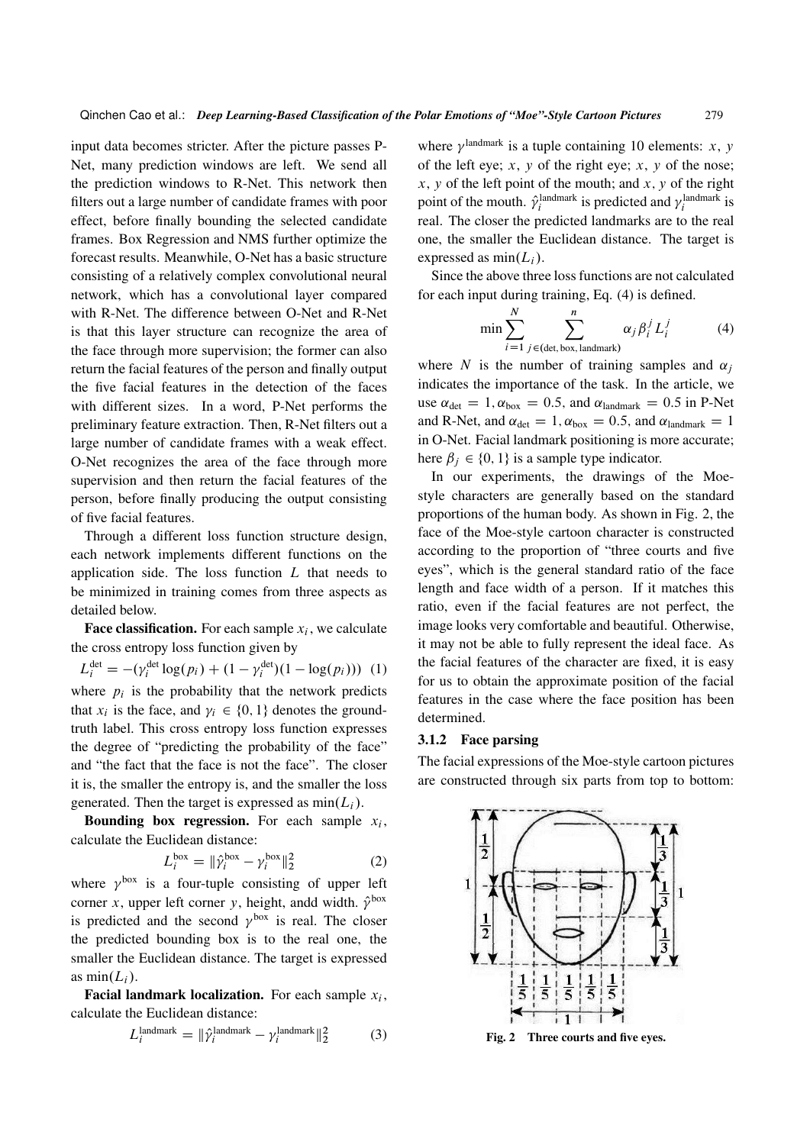input data becomes stricter. After the picture passes P-Net, many prediction windows are left. We send all the prediction windows to R-Net. This network then filters out a large number of candidate frames with poor effect, before finally bounding the selected candidate frames. Box Regression and NMS further optimize the forecast results. Meanwhile, O-Net has a basic structure consisting of a relatively complex convolutional neural network, which has a convolutional layer compared with R-Net. The difference between O-Net and R-Net is that this layer structure can recognize the area of the face through more supervision; the former can also return the facial features of the person and finally output the five facial features in the detection of the faces with different sizes. In a word, P-Net performs the preliminary feature extraction. Then, R-Net filters out a large number of candidate frames with a weak effect. O-Net recognizes the area of the face through more supervision and then return the facial features of the person, before finally producing the output consisting of five facial features.

Through a different loss function structure design, each network implements different functions on the application side. The loss function  $L$  that needs to be minimized in training comes from three aspects as detailed below.

**Face classification.** For each sample  $x_i$ , we calculate the cross entropy loss function given by

 $L_i^{\text{det}} = -(\gamma_i^{\text{det}} \log(p_i) + (1 - \gamma_i^{\text{det}})(1 - \log(p_i)))$  (1) where  $p_i$  is the probability that the network predicts that  $x_i$  is the face, and  $\gamma_i \in \{0, 1\}$  denotes the groundtruth label. This cross entropy loss function expresses the degree of "predicting the probability of the face" and "the fact that the face is not the face". The closer it is, the smaller the entropy is, and the smaller the loss generated. Then the target is expressed as  $min(L_i)$ .

**Bounding box regression.** For each sample  $x_i$ , calculate the Euclidean distance:

$$
L_i^{\text{box}} = \|\hat{\gamma}_i^{\text{box}} - \gamma_i^{\text{box}}\|_2^2 \tag{2}
$$

where  $\gamma^{box}$  is a four-tuple consisting of upper left corner x, upper left corner y, height, andd width.  $\hat{\gamma}^{box}$ is predicted and the second  $\gamma^{box}$  is real. The closer the predicted bounding box is to the real one, the smaller the Euclidean distance. The target is expressed as  $min(L_i)$ .

**Facial landmark localization.** For each sample  $x_i$ , calculate the Euclidean distance:

$$
L_i^{\text{landmark}} = \|\hat{\gamma}_i^{\text{landmark}} - \gamma_i^{\text{landmark}}\|_2^2 \tag{3}
$$

where  $\gamma^{\text{landmark}}$  is a tuple containing 10 elements: x, y of the left eye;  $x$ ,  $y$  of the right eye;  $x$ ,  $y$  of the nose;  $x, y$  of the left point of the mouth; and  $x, y$  of the right point of the mouth.  $\hat{\gamma}_i^{\text{landmark}}$  is predicted and  $\gamma_i^{\text{landmark}}$  is real. The closer the predicted landmarks are to the real one, the smaller the Euclidean distance. The target is expressed as  $min(L_i)$ .

Since the above three loss functions are not calculated for each input during training, Eq. (4) is defined.

$$
\min \sum_{i=1}^{N} \sum_{j \in (\text{det}, \text{box}, \text{landmark})}^{n} \alpha_j \beta_i^j L_i^j \tag{4}
$$

where N is the number of training samples and  $\alpha_i$ indicates the importance of the task. In the article, we use  $\alpha_{\text{det}} = 1, \alpha_{\text{box}} = 0.5$ , and  $\alpha_{\text{landmark}} = 0.5$  in P-Net and R-Net, and  $\alpha_{\text{det}} = 1$ ,  $\alpha_{\text{box}} = 0.5$ , and  $\alpha_{\text{landmark}} = 1$ in O-Net. Facial landmark positioning is more accurate; here  $\beta_i \in \{0, 1\}$  is a sample type indicator.

In our experiments, the drawings of the Moestyle characters are generally based on the standard proportions of the human body. As shown in Fig. 2, the face of the Moe-style cartoon character is constructed according to the proportion of "three courts and five eyes", which is the general standard ratio of the face length and face width of a person. If it matches this ratio, even if the facial features are not perfect, the image looks very comfortable and beautiful. Otherwise, it may not be able to fully represent the ideal face. As the facial features of the character are fixed, it is easy for us to obtain the approximate position of the facial features in the case where the face position has been determined.

#### 3.1.2 Face parsing

The facial expressions of the Moe-style cartoon pictures are constructed through six parts from top to bottom:



Fig. 2 Three courts and five eyes.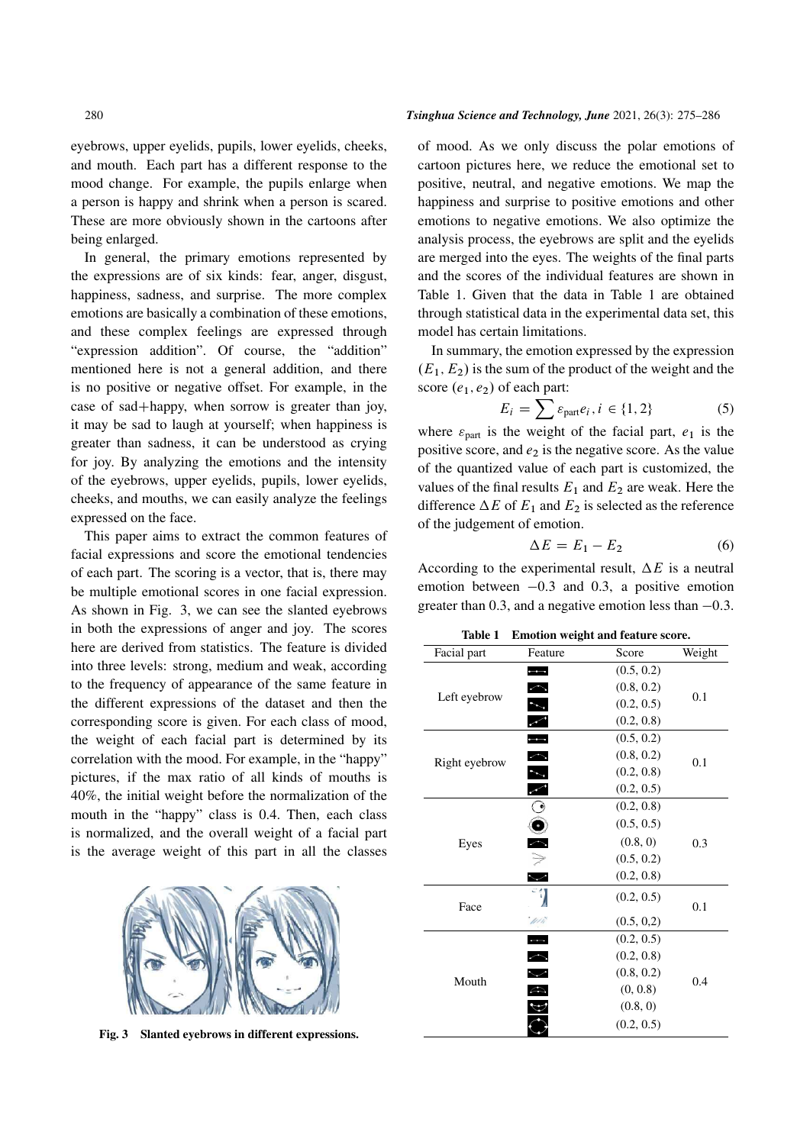eyebrows, upper eyelids, pupils, lower eyelids, cheeks, and mouth. Each part has a different response to the mood change. For example, the pupils enlarge when a person is happy and shrink when a person is scared. These are more obviously shown in the cartoons after being enlarged.

In general, the primary emotions represented by the expressions are of six kinds: fear, anger, disgust, happiness, sadness, and surprise. The more complex emotions are basically a combination of these emotions, and these complex feelings are expressed through "expression addition". Of course, the "addition" mentioned here is not a general addition, and there is no positive or negative offset. For example, in the case of sad+happy, when sorrow is greater than joy, it may be sad to laugh at yourself; when happiness is greater than sadness, it can be understood as crying for joy. By analyzing the emotions and the intensity of the eyebrows, upper eyelids, pupils, lower eyelids, cheeks, and mouths, we can easily analyze the feelings expressed on the face.

This paper aims to extract the common features of facial expressions and score the emotional tendencies of each part. The scoring is a vector, that is, there may be multiple emotional scores in one facial expression. As shown in Fig. 3, we can see the slanted eyebrows in both the expressions of anger and joy. The scores here are derived from statistics. The feature is divided into three levels: strong, medium and weak, according to the frequency of appearance of the same feature in the different expressions of the dataset and then the corresponding score is given. For each class of mood, the weight of each facial part is determined by its correlation with the mood. For example, in the "happy" pictures, if the max ratio of all kinds of mouths is 40%, the initial weight before the normalization of the mouth in the "happy" class is 0.4. Then, each class is normalized, and the overall weight of a facial part is the average weight of this part in all the classes



Fig. 3 Slanted eyebrows in different expressions.

#### 280 *Tsinghua Science and Technology, June* 2021, 26(3): 275–286

of mood. As we only discuss the polar emotions of cartoon pictures here, we reduce the emotional set to positive, neutral, and negative emotions. We map the happiness and surprise to positive emotions and other emotions to negative emotions. We also optimize the analysis process, the eyebrows are split and the eyelids are merged into the eyes. The weights of the final parts and the scores of the individual features are shown in Table 1. Given that the data in Table 1 are obtained through statistical data in the experimental data set, this model has certain limitations.

In summary, the emotion expressed by the expression  $(E_1, E_2)$  is the sum of the product of the weight and the score  $(e_1, e_2)$  of each part:

$$
E_i = \sum \varepsilon_{\text{part}} e_i, i \in \{1, 2\} \tag{5}
$$

where  $\varepsilon_{part}$  is the weight of the facial part,  $e_1$  is the positive score, and  $e_2$  is the negative score. As the value of the quantized value of each part is customized, the values of the final results  $E_1$  and  $E_2$  are weak. Here the difference  $\Delta E$  of  $E_1$  and  $E_2$  is selected as the reference of the judgement of emotion.

$$
\Delta E = E_1 - E_2 \tag{6}
$$

According to the experimental result,  $\Delta E$  is a neutral emotion between  $-0.3$  and 0.3, a positive emotion greater than 0.3, and a negative emotion less than  $-0.3$ .

Table 1 Emotion weight and feature score.

| Facial part   | Feature<br>Score         |            | Weight |  |
|---------------|--------------------------|------------|--------|--|
|               | $\overline{\phantom{0}}$ | (0.5, 0.2) |        |  |
| Left eyebrow  | $\frown$                 | (0.8, 0.2) |        |  |
|               | $\overline{\phantom{a}}$ | (0.2, 0.5) | 0.1    |  |
|               | $\mathcal{L}$            | (0.2, 0.8) |        |  |
|               | $\overline{\phantom{0}}$ | (0.5, 0.2) |        |  |
|               |                          | (0.8, 0.2) | 0.1    |  |
| Right eyebrow |                          | (0.2, 0.8) |        |  |
|               | $\sum$                   | (0.2, 0.5) |        |  |
|               | $\odot$                  | (0.2, 0.8) |        |  |
|               |                          | (0.5, 0.5) |        |  |
| Eyes          | $\ddot{\bullet}$         | (0.8, 0)   | 0.3    |  |
|               |                          | (0.5, 0.2) |        |  |
|               | $\overline{\phantom{0}}$ | (0.2, 0.8) |        |  |
|               |                          | (0.2, 0.5) |        |  |
| Face          | $\mu$ n                  | (0.5, 0.2) | 0.1    |  |
|               | $\overline{\phantom{a}}$ | (0.2, 0.5) |        |  |
|               | $\hat{\phantom{a}}$      | (0.2, 0.8) |        |  |
|               | $\checkmark$             | (0.8, 0.2) |        |  |
| Mouth         | $\curvearrowright$       | (0, 0.8)   | 0.4    |  |
|               |                          | (0.8, 0)   |        |  |
|               |                          | (0.2, 0.5) |        |  |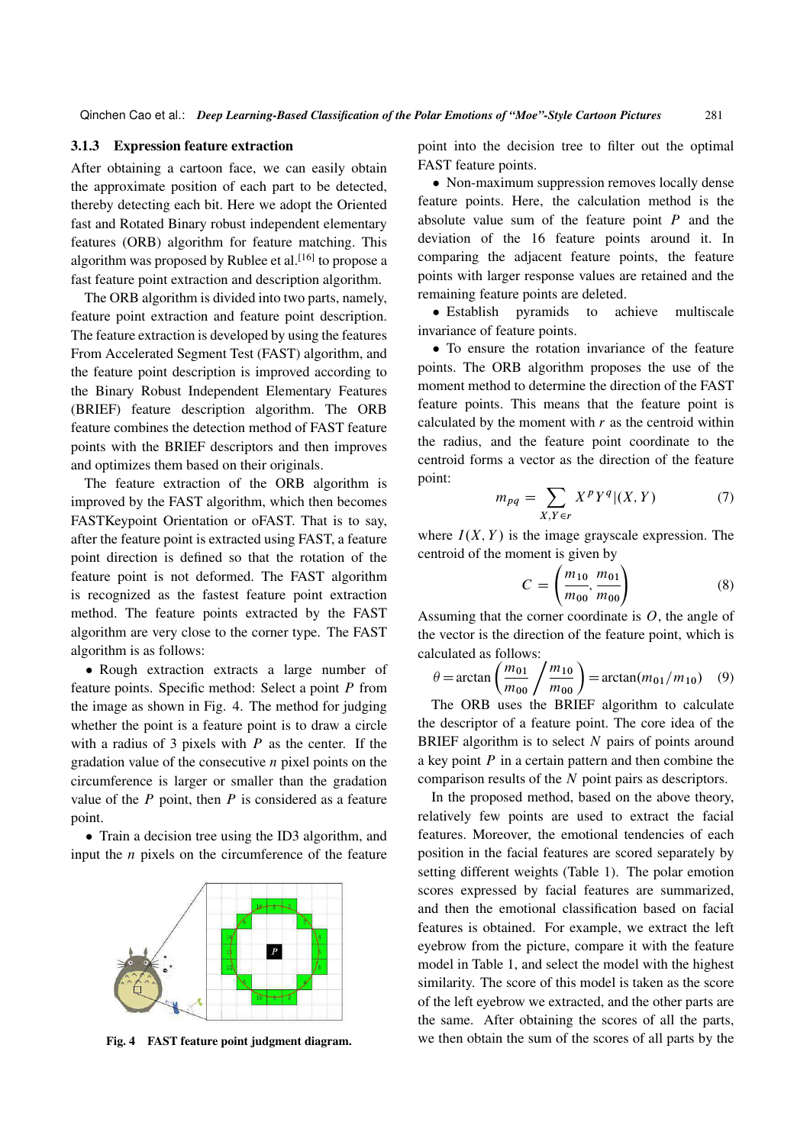### 3.1.3 Expression feature extraction

After obtaining a cartoon face, we can easily obtain the approximate position of each part to be detected, thereby detecting each bit. Here we adopt the Oriented fast and Rotated Binary robust independent elementary features (ORB) algorithm for feature matching. This algorithm was proposed by Rublee et al.<sup>[16]</sup> to propose a fast feature point extraction and description algorithm.

The ORB algorithm is divided into two parts, namely, feature point extraction and feature point description. The feature extraction is developed by using the features From Accelerated Segment Test (FAST) algorithm, and the feature point description is improved according to the Binary Robust Independent Elementary Features (BRIEF) feature description algorithm. The ORB feature combines the detection method of FAST feature points with the BRIEF descriptors and then improves and optimizes them based on their originals.

The feature extraction of the ORB algorithm is improved by the FAST algorithm, which then becomes FASTKeypoint Orientation or oFAST. That is to say, after the feature point is extracted using FAST, a feature point direction is defined so that the rotation of the feature point is not deformed. The FAST algorithm is recognized as the fastest feature point extraction method. The feature points extracted by the FAST algorithm are very close to the corner type. The FAST algorithm is as follows:

 Rough extraction extracts a large number of feature points. Specific method: Select a point  $P$  from the image as shown in Fig. 4. The method for judging whether the point is a feature point is to draw a circle with a radius of 3 pixels with  $P$  as the center. If the gradation value of the consecutive  $n$  pixel points on the circumference is larger or smaller than the gradation value of the  $P$  point, then  $P$  is considered as a feature point.

• Train a decision tree using the ID3 algorithm, and input the  $n$  pixels on the circumference of the feature



Fig. 4 FAST feature point judgment diagram.

point into the decision tree to filter out the optimal FAST feature points.

• Non-maximum suppression removes locally dense feature points. Here, the calculation method is the absolute value sum of the feature point  $P$  and the deviation of the 16 feature points around it. In comparing the adjacent feature points, the feature points with larger response values are retained and the remaining feature points are deleted.

• Establish pyramids to achieve multiscale invariance of feature points.

 To ensure the rotation invariance of the feature points. The ORB algorithm proposes the use of the moment method to determine the direction of the FAST feature points. This means that the feature point is calculated by the moment with  $r$  as the centroid within the radius, and the feature point coordinate to the centroid forms a vector as the direction of the feature point:

$$
m_{pq} = \sum_{X,Y \in r} X^p Y^q | (X,Y) \tag{7}
$$

where  $I(X, Y)$  is the image grayscale expression. The centroid of the moment is given by

$$
C = \left(\frac{m_{10}}{m_{00}}, \frac{m_{01}}{m_{00}}\right) \tag{8}
$$

Assuming that the corner coordinate is  $O$ , the angle of the vector is the direction of the feature point, which is calculated as follows:

$$
\theta = \arctan\left(\frac{m_{01}}{m_{00}}\middle/ \frac{m_{10}}{m_{00}}\right) = \arctan(m_{01}/m_{10}) \quad (9)
$$

The ORB uses the BRIEF algorithm to calculate the descriptor of a feature point. The core idea of the BRIEF algorithm is to select  $N$  pairs of points around a key point  $P$  in a certain pattern and then combine the comparison results of the N point pairs as descriptors.

In the proposed method, based on the above theory, relatively few points are used to extract the facial features. Moreover, the emotional tendencies of each position in the facial features are scored separately by setting different weights (Table 1). The polar emotion scores expressed by facial features are summarized, and then the emotional classification based on facial features is obtained. For example, we extract the left eyebrow from the picture, compare it with the feature model in Table 1, and select the model with the highest similarity. The score of this model is taken as the score of the left eyebrow we extracted, and the other parts are the same. After obtaining the scores of all the parts, we then obtain the sum of the scores of all parts by the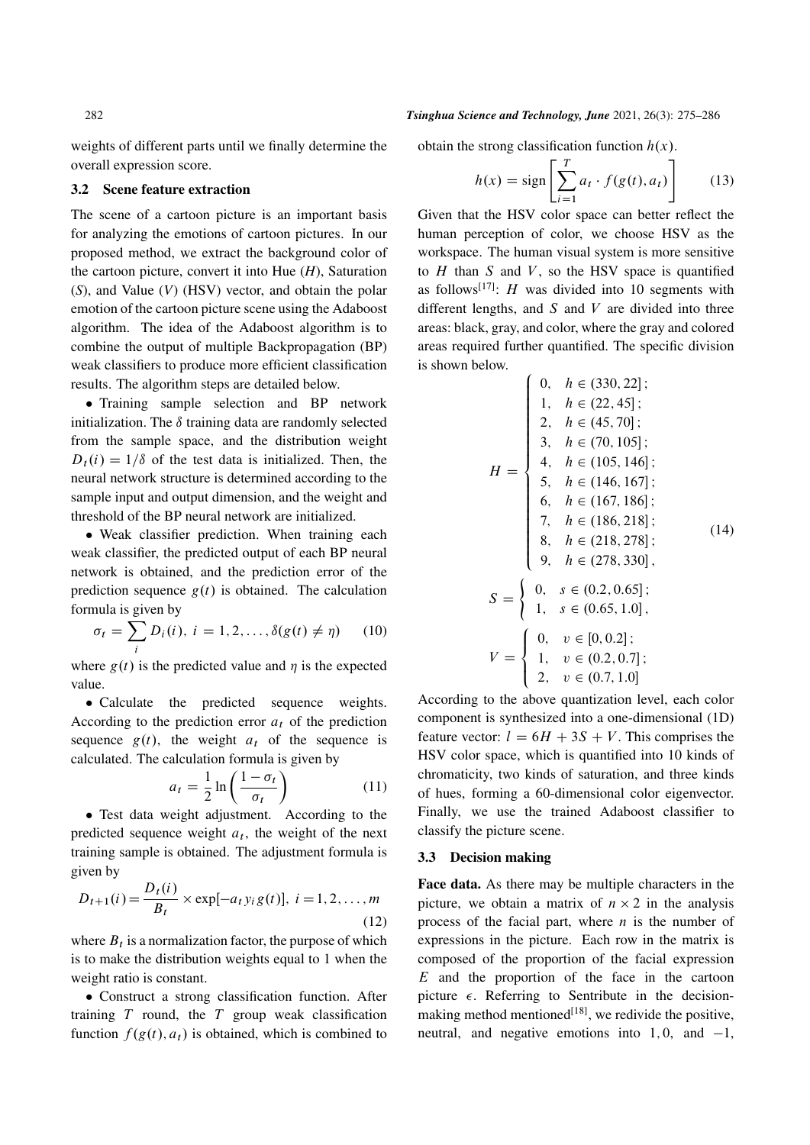weights of different parts until we finally determine the overall expression score.

#### 3.2 Scene feature extraction

The scene of a cartoon picture is an important basis for analyzing the emotions of cartoon pictures. In our proposed method, we extract the background color of the cartoon picture, convert it into Hue (*H*), Saturation (*S*), and Value (*V*) (HSV) vector, and obtain the polar emotion of the cartoon picture scene using the Adaboost algorithm. The idea of the Adaboost algorithm is to combine the output of multiple Backpropagation (BP) weak classifiers to produce more efficient classification results. The algorithm steps are detailed below.

• Training sample selection and BP network initialization. The  $\delta$  training data are randomly selected from the sample space, and the distribution weight  $D_t(i) = 1/\delta$  of the test data is initialized. Then, the neural network structure is determined according to the sample input and output dimension, and the weight and threshold of the BP neural network are initialized.

 Weak classifier prediction. When training each weak classifier, the predicted output of each BP neural network is obtained, and the prediction error of the prediction sequence  $g(t)$  is obtained. The calculation formula is given by

$$
\sigma_t = \sum_i D_i(i), \ i = 1, 2, \dots, \delta(g(t) \neq \eta) \qquad (10)
$$

where  $g(t)$  is the predicted value and  $\eta$  is the expected value.

 Calculate the predicted sequence weights. According to the prediction error  $a_t$  of the prediction sequence  $g(t)$ , the weight  $a_t$  of the sequence is calculated. The calculation formula is given by

$$
a_t = \frac{1}{2} \ln \left( \frac{1 - \sigma_t}{\sigma_t} \right) \tag{11}
$$

 Test data weight adjustment. According to the predicted sequence weight  $a_t$ , the weight of the next training sample is obtained. The adjustment formula is given by

$$
D_{t+1}(i) = \frac{D_t(i)}{B_t} \times \exp[-a_t y_i g(t)], \ i = 1, 2, ..., m
$$
\n(12)

where  $B_t$  is a normalization factor, the purpose of which is to make the distribution weights equal to 1 when the weight ratio is constant.

 Construct a strong classification function. After training  $T$  round, the  $T$  group weak classification function  $f(g(t), a_t)$  is obtained, which is combined to

## 282 *Tsinghua Science and Technology, June* 2021, 26(3): 275–286

obtain the strong classification function  $h(x)$ .

$$
h(x) = \text{sign}\left[\sum_{i=1}^{T} a_i \cdot f(g(t), a_t)\right]
$$
 (13)

Given that the HSV color space can better reflect the human perception of color, we choose HSV as the workspace. The human visual system is more sensitive to  $H$  than  $S$  and  $V$ , so the HSV space is quantified as follows<sup>[17]</sup>: *H* was divided into 10 segments with different lengths, and  $S$  and  $V$  are divided into three areas: black, gray, and color, where the gray and colored areas required further quantified. The specific division is shown below.

$$
H = \begin{cases} 0, & h \in (330, 22]; \\ 1, & h \in (22, 45]; \\ 2, & h \in (45, 70]; \\ 3, & h \in (70, 105]; \\ 4, & h \in (105, 146]; \\ 5, & h \in (146, 167]; \\ 6, & h \in (167, 186]; \\ 7, & h \in (186, 218]; \\ 8, & h \in (218, 278]; \\ 9, & h \in (278, 330], \\ 1, & s \in (0.65, 1.0], \\ 1, & s \in (0.65, 1.0], \\ 1, & v \in (0.2, 0.7]; \\ 2, & v \in (0.7, 1.0] \end{cases}
$$

According to the above quantization level, each color component is synthesized into a one-dimensional (1D) feature vector:  $l = 6H + 3S + V$ . This comprises the HSV color space, which is quantified into 10 kinds of chromaticity, two kinds of saturation, and three kinds of hues, forming a 60-dimensional color eigenvector. Finally, we use the trained Adaboost classifier to classify the picture scene.

#### 3.3 Decision making

Face data. As there may be multiple characters in the picture, we obtain a matrix of  $n \times 2$  in the analysis process of the facial part, where  $n$  is the number of expressions in the picture. Each row in the matrix is composed of the proportion of the facial expression  $E$  and the proportion of the face in the cartoon picture  $\epsilon$ . Referring to Sentribute in the decisionmaking method mentioned<sup>[18]</sup>, we redivide the positive, neutral, and negative emotions into 1,0, and  $-1$ ,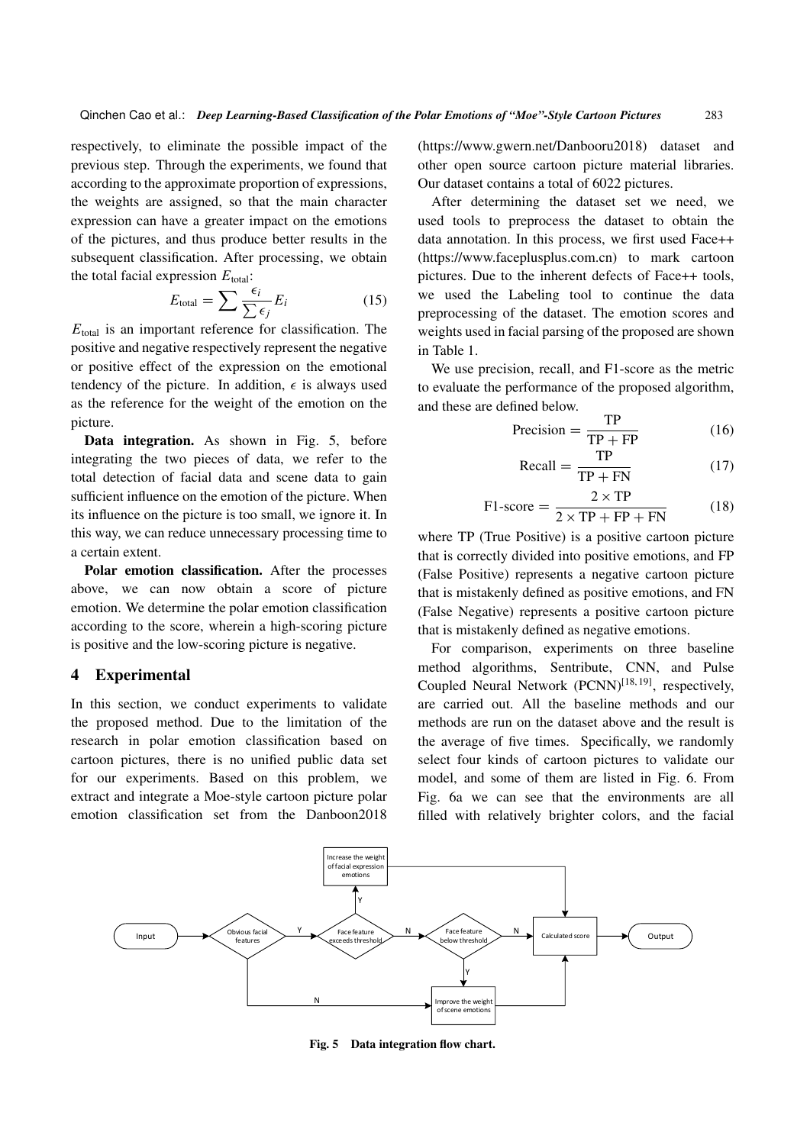respectively, to eliminate the possible impact of the previous step. Through the experiments, we found that according to the approximate proportion of expressions, the weights are assigned, so that the main character expression can have a greater impact on the emotions of the pictures, and thus produce better results in the subsequent classification. After processing, we obtain the total facial expression  $E_{total}$ :

$$
E_{\text{total}} = \sum \frac{\epsilon_i}{\sum \epsilon_j} E_i \tag{15}
$$

 $E_{total}$  is an important reference for classification. The positive and negative respectively represent the negative or positive effect of the expression on the emotional tendency of the picture. In addition,  $\epsilon$  is always used as the reference for the weight of the emotion on the picture.

Data integration. As shown in Fig. 5, before integrating the two pieces of data, we refer to the total detection of facial data and scene data to gain sufficient influence on the emotion of the picture. When its influence on the picture is too small, we ignore it. In this way, we can reduce unnecessary processing time to a certain extent.

Polar emotion classification. After the processes above, we can now obtain a score of picture emotion. We determine the polar emotion classification according to the score, wherein a high-scoring picture is positive and the low-scoring picture is negative.

## 4 Experimental

In this section, we conduct experiments to validate the proposed method. Due to the limitation of the research in polar emotion classification based on cartoon pictures, there is no unified public data set for our experiments. Based on this problem, we extract and integrate a Moe-style cartoon picture polar emotion classification set from the Danboon2018 (https://www.gwern.net/Danbooru2018) dataset and other open source cartoon picture material libraries. Our dataset contains a total of 6022 pictures.

After determining the dataset set we need, we used tools to preprocess the dataset to obtain the data annotation. In this process, we first used Face++ (https://www.faceplusplus.com.cn) to mark cartoon pictures. Due to the inherent defects of Face++ tools, we used the Labeling tool to continue the data preprocessing of the dataset. The emotion scores and weights used in facial parsing of the proposed are shown in Table 1.

We use precision, recall, and F1-score as the metric to evaluate the performance of the proposed algorithm, and these are defined below.

$$
Precision = \frac{TP}{TP + FP}
$$
 (16)

$$
Recall = \frac{TP}{TP + FN}
$$
 (17)

$$
F1-score = \frac{2 \times TP}{2 \times TP + FP + FN}
$$
 (18)

where TP (True Positive) is a positive cartoon picture that is correctly divided into positive emotions, and FP (False Positive) represents a negative cartoon picture that is mistakenly defined as positive emotions, and FN (False Negative) represents a positive cartoon picture that is mistakenly defined as negative emotions.

For comparison, experiments on three baseline method algorithms, Sentribute, CNN, and Pulse Coupled Neural Network  $(PCNN)^{[18, 19]}$ , respectively, are carried out. All the baseline methods and our methods are run on the dataset above and the result is the average of five times. Specifically, we randomly select four kinds of cartoon pictures to validate our model, and some of them are listed in Fig. 6. From Fig. 6a we can see that the environments are all filled with relatively brighter colors, and the facial



Fig. 5 Data integration flow chart.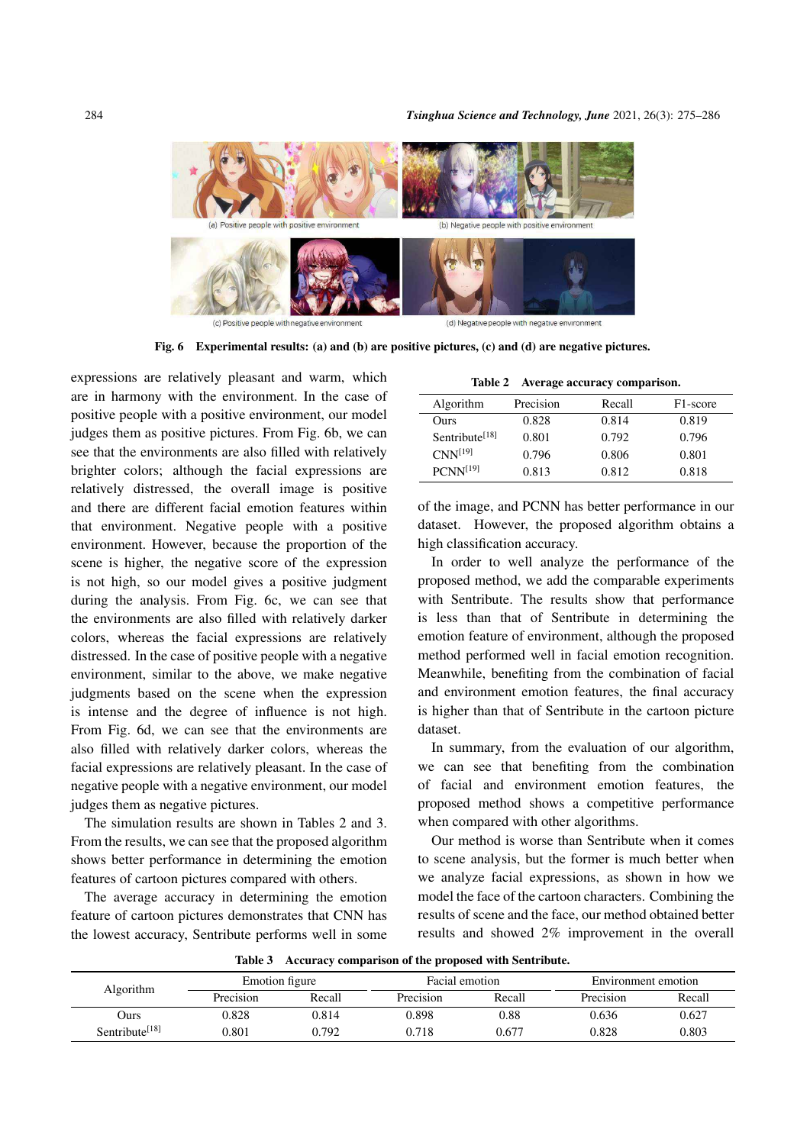

Fig. 6 Experimental results: (a) and (b) are positive pictures, (c) and (d) are negative pictures.

expressions are relatively pleasant and warm, which are in harmony with the environment. In the case of positive people with a positive environment, our model judges them as positive pictures. From Fig. 6b, we can see that the environments are also filled with relatively brighter colors; although the facial expressions are relatively distressed, the overall image is positive and there are different facial emotion features within that environment. Negative people with a positive environment. However, because the proportion of the scene is higher, the negative score of the expression is not high, so our model gives a positive judgment during the analysis. From Fig. 6c, we can see that the environments are also filled with relatively darker colors, whereas the facial expressions are relatively distressed. In the case of positive people with a negative environment, similar to the above, we make negative judgments based on the scene when the expression is intense and the degree of influence is not high. From Fig. 6d, we can see that the environments are also filled with relatively darker colors, whereas the facial expressions are relatively pleasant. In the case of negative people with a negative environment, our model judges them as negative pictures.

The simulation results are shown in Tables 2 and 3. From the results, we can see that the proposed algorithm shows better performance in determining the emotion features of cartoon pictures compared with others.

The average accuracy in determining the emotion feature of cartoon pictures demonstrates that CNN has the lowest accuracy, Sentribute performs well in some

Table 2 Average accuracy comparison.

| Algorithm                     | Precision | Recall | F <sub>1</sub> -score |  |
|-------------------------------|-----------|--------|-----------------------|--|
| Ours                          | 0.828     | 0.814  | 0.819                 |  |
| $S$ entribute <sup>[18]</sup> | 0.801     | 0.792  | 0.796                 |  |
| CNN <sup>[19]</sup>           | 0.796     | 0.806  | 0.801                 |  |
| $PCNN^{[19]}$                 | 0.813     | 0.812  | 0.818                 |  |
|                               |           |        |                       |  |

of the image, and PCNN has better performance in our dataset. However, the proposed algorithm obtains a high classification accuracy.

In order to well analyze the performance of the proposed method, we add the comparable experiments with Sentribute. The results show that performance is less than that of Sentribute in determining the emotion feature of environment, although the proposed method performed well in facial emotion recognition. Meanwhile, benefiting from the combination of facial and environment emotion features, the final accuracy is higher than that of Sentribute in the cartoon picture dataset.

In summary, from the evaluation of our algorithm, we can see that benefiting from the combination of facial and environment emotion features, the proposed method shows a competitive performance when compared with other algorithms.

Our method is worse than Sentribute when it comes to scene analysis, but the former is much better when we analyze facial expressions, as shown in how we model the face of the cartoon characters. Combining the results of scene and the face, our method obtained better results and showed 2% improvement in the overall

| <b>Algorithm</b>           | Emotion figure |        | Facial emotion |        | Environment emotion |        |  |  |  |  |
|----------------------------|----------------|--------|----------------|--------|---------------------|--------|--|--|--|--|
|                            | Precision      | Recall | Precision      | Recall | Precision           | Recall |  |  |  |  |
| Ours                       | 0.828          | 0.814  | 0.898          | 0.88   | 0.636               | 0.627  |  |  |  |  |
| Sentribute <sup>[18]</sup> | 0.801          | 0.792  | 0.718          | 0.677  | 0.828               | 0.803  |  |  |  |  |

Table 3 Accuracy comparison of the proposed with Sentribute.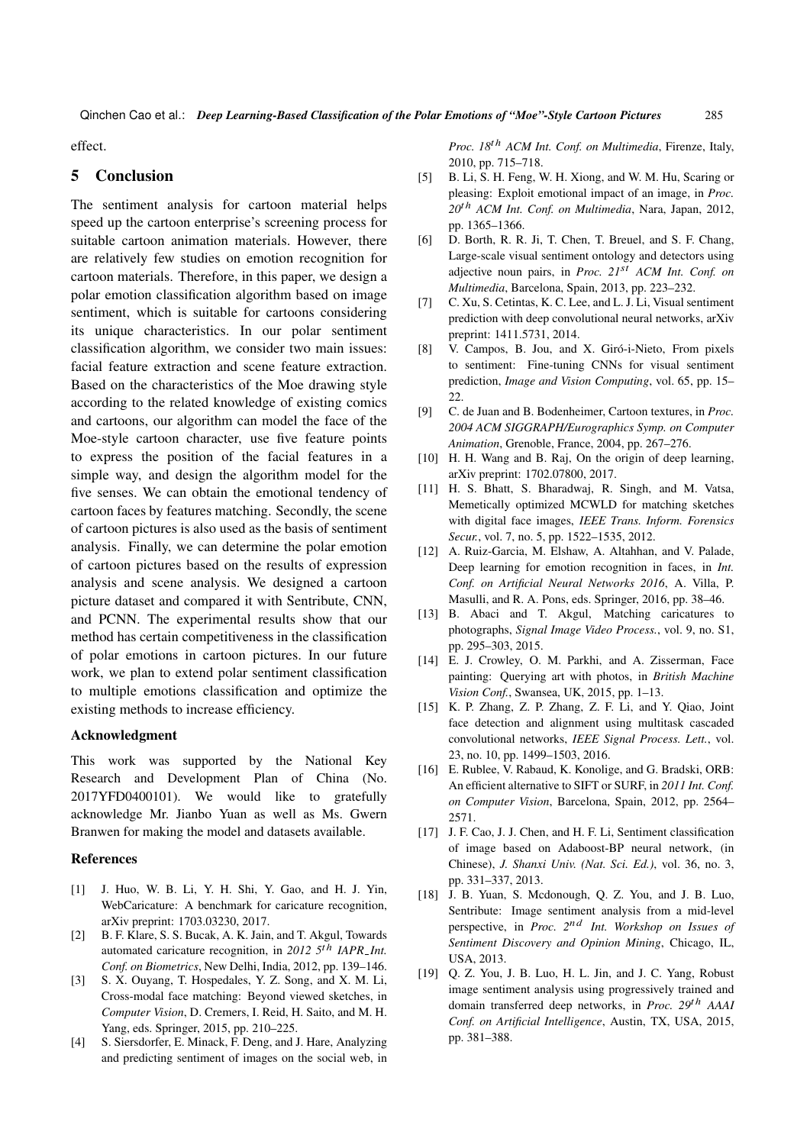effect.

# 5 Conclusion

The sentiment analysis for cartoon material helps speed up the cartoon enterprise's screening process for suitable cartoon animation materials. However, there are relatively few studies on emotion recognition for cartoon materials. Therefore, in this paper, we design a polar emotion classification algorithm based on image sentiment, which is suitable for cartoons considering its unique characteristics. In our polar sentiment classification algorithm, we consider two main issues: facial feature extraction and scene feature extraction. Based on the characteristics of the Moe drawing style according to the related knowledge of existing comics and cartoons, our algorithm can model the face of the Moe-style cartoon character, use five feature points to express the position of the facial features in a simple way, and design the algorithm model for the five senses. We can obtain the emotional tendency of cartoon faces by features matching. Secondly, the scene of cartoon pictures is also used as the basis of sentiment analysis. Finally, we can determine the polar emotion of cartoon pictures based on the results of expression analysis and scene analysis. We designed a cartoon picture dataset and compared it with Sentribute, CNN, and PCNN. The experimental results show that our method has certain competitiveness in the classification of polar emotions in cartoon pictures. In our future work, we plan to extend polar sentiment classification to multiple emotions classification and optimize the existing methods to increase efficiency.

#### Acknowledgment

This work was supported by the National Key Research and Development Plan of China (No. 2017YFD0400101). We would like to gratefully acknowledge Mr. Jianbo Yuan as well as Ms. Gwern Branwen for making the model and datasets available.

#### References

- [1] J. Huo, W. B. Li, Y. H. Shi, Y. Gao, and H. J. Yin, WebCaricature: A benchmark for caricature recognition, arXiv preprint: 1703.03230, 2017.
- [2] B. F. Klare, S. S. Bucak, A. K. Jain, and T. Akgul, Towards automated caricature recognition, in *2012 5*th *IAPR Int. Conf. on Biometrics*, New Delhi, India, 2012, pp. 139–146.
- [3] S. X. Ouyang, T. Hospedales, Y. Z. Song, and X. M. Li, Cross-modal face matching: Beyond viewed sketches, in *Computer Vision*, D. Cremers, I. Reid, H. Saito, and M. H. Yang, eds. Springer, 2015, pp. 210–225.
- [4] S. Siersdorfer, E. Minack, F. Deng, and J. Hare, Analyzing and predicting sentiment of images on the social web, in

*Proc. 18*th *ACM Int. Conf. on Multimedia*, Firenze, Italy, 2010, pp. 715–718.

- [5] B. Li, S. H. Feng, W. H. Xiong, and W. M. Hu, Scaring or pleasing: Exploit emotional impact of an image, in *Proc. 20*th *ACM Int. Conf. on Multimedia*, Nara, Japan, 2012, pp. 1365–1366.
- [6] D. Borth, R. R. Ji, T. Chen, T. Breuel, and S. F. Chang, Large-scale visual sentiment ontology and detectors using adjective noun pairs, in *Proc. 21*st *ACM Int. Conf. on Multimedia*, Barcelona, Spain, 2013, pp. 223–232.
- [7] C. Xu, S. Cetintas, K. C. Lee, and L. J. Li, Visual sentiment prediction with deep convolutional neural networks, arXiv preprint: 1411.5731, 2014.
- [8] V. Campos, B. Jou, and X. Giró-i-Nieto, From pixels to sentiment: Fine-tuning CNNs for visual sentiment prediction, *Image and Vision Computing*, vol. 65, pp. 15– 22.
- [9] C. de Juan and B. Bodenheimer, Cartoon textures, in *Proc. 2004 ACM SIGGRAPH/Eurographics Symp. on Computer Animation*, Grenoble, France, 2004, pp. 267–276.
- [10] H. H. Wang and B. Raj, On the origin of deep learning, arXiv preprint: 1702.07800, 2017.
- [11] H. S. Bhatt, S. Bharadwaj, R. Singh, and M. Vatsa, Memetically optimized MCWLD for matching sketches with digital face images, *IEEE Trans. Inform. Forensics Secur.*, vol. 7, no. 5, pp. 1522–1535, 2012.
- [12] A. Ruiz-Garcia, M. Elshaw, A. Altahhan, and V. Palade, Deep learning for emotion recognition in faces, in *Int. Conf. on Artificial Neural Networks 2016*, A. Villa, P. Masulli, and R. A. Pons, eds. Springer, 2016, pp. 38–46.
- [13] B. Abaci and T. Akgul, Matching caricatures to photographs, *Signal Image Video Process.*, vol. 9, no. S1, pp. 295–303, 2015.
- [14] E. J. Crowley, O. M. Parkhi, and A. Zisserman, Face painting: Querying art with photos, in *British Machine Vision Conf.*, Swansea, UK, 2015, pp. 1–13.
- [15] K. P. Zhang, Z. P. Zhang, Z. F. Li, and Y. Qiao, Joint face detection and alignment using multitask cascaded convolutional networks, *IEEE Signal Process. Lett.*, vol. 23, no. 10, pp. 1499–1503, 2016.
- [16] E. Rublee, V. Rabaud, K. Konolige, and G. Bradski, ORB: An efficient alternative to SIFT or SURF, in *2011 Int. Conf. on Computer Vision*, Barcelona, Spain, 2012, pp. 2564– 2571.
- [17] J. F. Cao, J. J. Chen, and H. F. Li, Sentiment classification of image based on Adaboost-BP neural network, (in Chinese), *J. Shanxi Univ. (Nat. Sci. Ed.)*, vol. 36, no. 3, pp. 331–337, 2013.
- [18] J. B. Yuan, S. Mcdonough, Q. Z. You, and J. B. Luo, Sentribute: Image sentiment analysis from a mid-level perspective, in *Proc. 2*nd *Int. Workshop on Issues of Sentiment Discovery and Opinion Mining*, Chicago, IL, USA, 2013.
- [19] Q. Z. You, J. B. Luo, H. L. Jin, and J. C. Yang, Robust image sentiment analysis using progressively trained and domain transferred deep networks, in *Proc. 29*th *AAAI Conf. on Artificial Intelligence*, Austin, TX, USA, 2015, pp. 381–388.